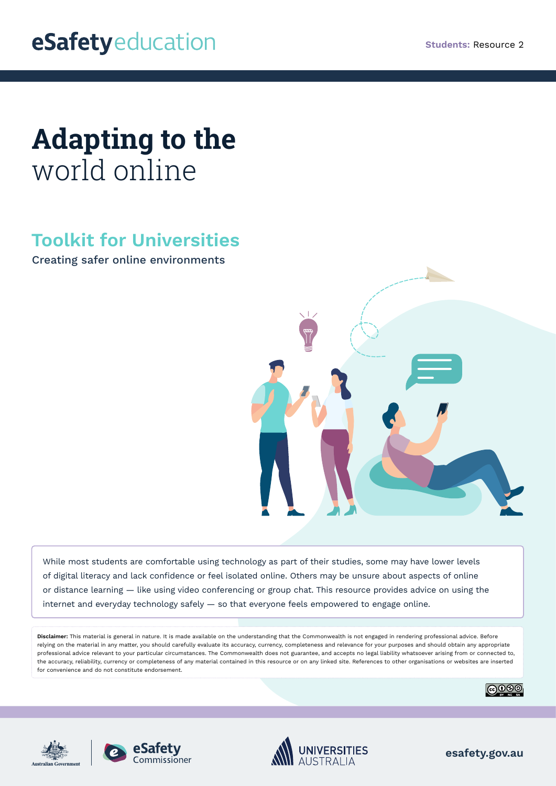## **Adapting to the**  world online

## **Toolkit for Universities**

Creating safer online environments



While most students are comfortable using technology as part of their studies, some may have lower levels of digital literacy and lack confidence or feel isolated online. Others may be unsure about aspects of online or distance learning — like using video conferencing or group chat. This resource provides advice on using the internet and everyday technology safely — so that everyone feels empowered to engage online.

**Disclaimer:** This material is general in nature. It is made available on the understanding that the Commonwealth is not engaged in rendering professional advice. Before relying on the material in any matter, you should carefully evaluate its accuracy, currency, completeness and relevance for your purposes and should obtain any appropriate professional advice relevant to your particular circumstances. The Commonwealth does not guarantee, and accepts no legal liability whatsoever arising from or connected to, the accuracy, reliability, currency or completeness of any material contained in this resource or on any linked site. References to other organisations or websites are inserted for convenience and do not constitute endorsement.